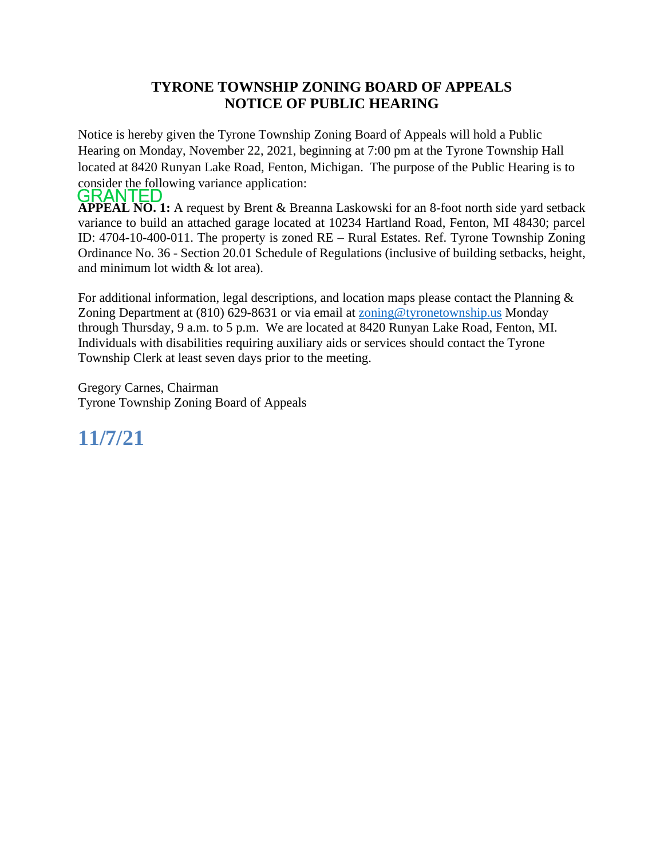## **TYRONE TOWNSHIP ZONING BOARD OF APPEALS NOTICE OF PUBLIC HEARING**

Notice is hereby given the Tyrone Township Zoning Board of Appeals will hold a Public Hearing on Monday, November 22, 2021, beginning at 7:00 pm at the Tyrone Township Hall located at 8420 Runyan Lake Road, Fenton, Michigan. The purpose of the Public Hearing is to consider the following variance application:<br>**GRANTED** 

**APPEAL NO. 1:** A request by Brent & Breanna Laskowski for an 8-foot north side yard setback variance to build an attached garage located at 10234 Hartland Road, Fenton, MI 48430; parcel ID: 4704-10-400-011. The property is zoned RE – Rural Estates. Ref. Tyrone Township Zoning Ordinance No. 36 - Section 20.01 Schedule of Regulations (inclusive of building setbacks, height, and minimum lot width & lot area).

For additional information, legal descriptions, and location maps please contact the Planning  $\&$ Zoning Department at (810) 629-8631 or via email at [zoning@tyronetownship.us](mailto:zoning@tyronetownship.us) Monday through Thursday, 9 a.m. to 5 p.m. We are located at 8420 Runyan Lake Road, Fenton, MI. Individuals with disabilities requiring auxiliary aids or services should contact the Tyrone Township Clerk at least seven days prior to the meeting.

Gregory Carnes, Chairman Tyrone Township Zoning Board of Appeals

## **11/7/21**